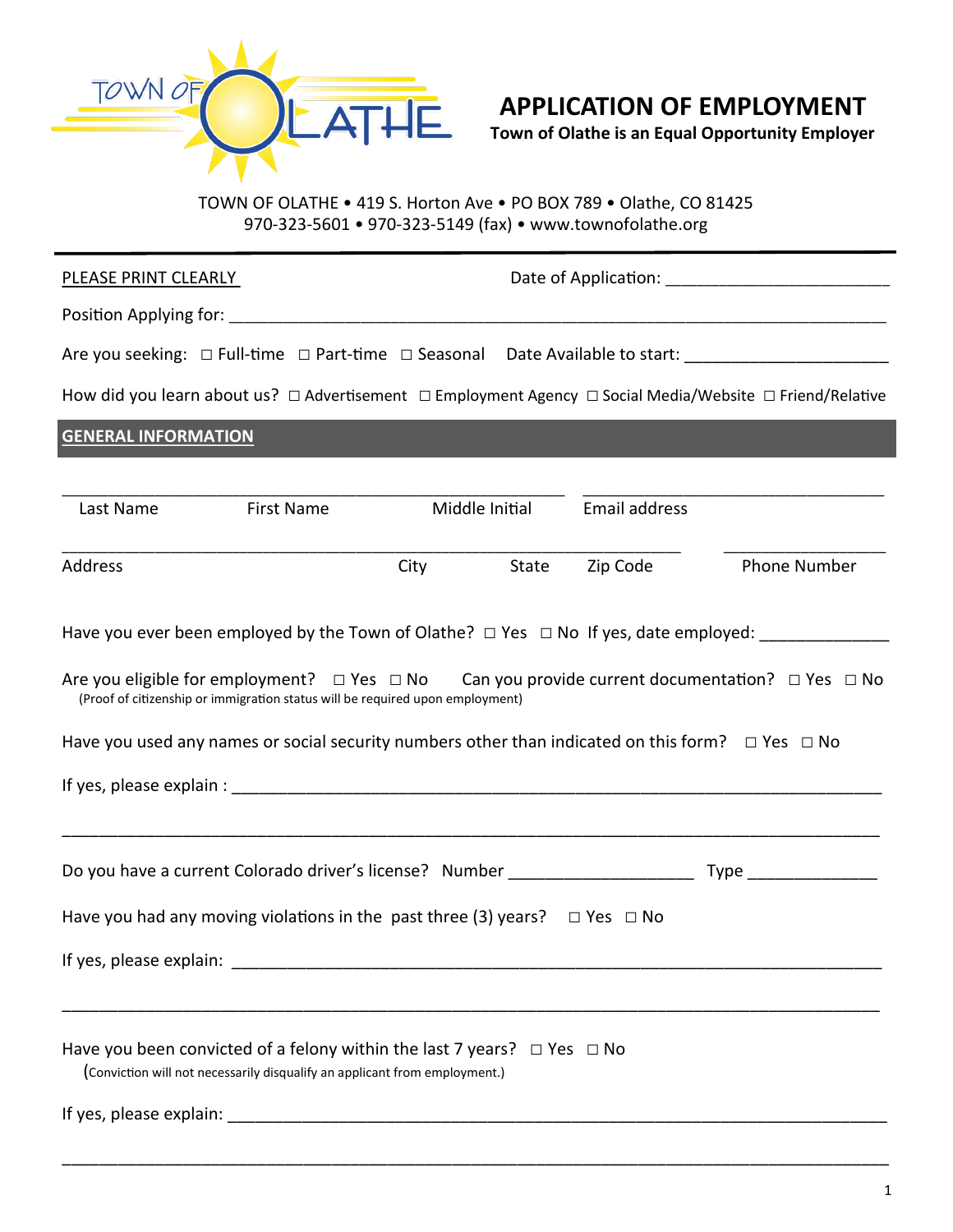

## **APPLICATION OF EMPLOYMENT**

**Town of Olathe is an Equal Opportunity Employer**

TOWN OF OLATHE • 419 S. Horton Ave • PO BOX 789 • Olathe, CO 81425 970-323-5601 • 970-323-5149 (fax) • www.townofolathe.org

| PLEASE PRINT CLEARLY                                                                                                                                                                                                                                                                                                                                                                                               |            |                |               |              |  |
|--------------------------------------------------------------------------------------------------------------------------------------------------------------------------------------------------------------------------------------------------------------------------------------------------------------------------------------------------------------------------------------------------------------------|------------|----------------|---------------|--------------|--|
|                                                                                                                                                                                                                                                                                                                                                                                                                    |            |                |               |              |  |
| Are you seeking: □ Full-time □ Part-time □ Seasonal Date Available to start: ______________________                                                                                                                                                                                                                                                                                                                |            |                |               |              |  |
| How did you learn about us? $\Box$ Advertisement $\Box$ Employment Agency $\Box$ Social Media/Website $\Box$ Friend/Relative                                                                                                                                                                                                                                                                                       |            |                |               |              |  |
| <b>GENERAL INFORMATION</b>                                                                                                                                                                                                                                                                                                                                                                                         |            |                |               |              |  |
| Last Name<br>First Name                                                                                                                                                                                                                                                                                                                                                                                            |            | Middle Initial | Email address |              |  |
| Address                                                                                                                                                                                                                                                                                                                                                                                                            | City State |                | Zip Code      | Phone Number |  |
| Have you ever been employed by the Town of Olathe? $\Box$ Yes $\Box$ No If yes, date employed:<br>Are you eligible for employment? $\Box$ Yes $\Box$ No Can you provide current documentation? $\Box$ Yes $\Box$ No<br>(Proof of citizenship or immigration status will be required upon employment)<br>Have you used any names or social security numbers other than indicated on this form? $\Box$ Yes $\Box$ No |            |                |               |              |  |
|                                                                                                                                                                                                                                                                                                                                                                                                                    |            |                |               |              |  |
| Have you had any moving violations in the past three (3) years? $\Box$ Yes $\Box$ No                                                                                                                                                                                                                                                                                                                               |            |                |               |              |  |
|                                                                                                                                                                                                                                                                                                                                                                                                                    |            |                |               |              |  |
| Have you been convicted of a felony within the last 7 years? $\Box$ Yes $\Box$ No<br>(Conviction will not necessarily disqualify an applicant from employment.)                                                                                                                                                                                                                                                    |            |                |               |              |  |

\_\_\_\_\_\_\_\_\_\_\_\_\_\_\_\_\_\_\_\_\_\_\_\_\_\_\_\_\_\_\_\_\_\_\_\_\_\_\_\_\_\_\_\_\_\_\_\_\_\_\_\_\_\_\_\_\_\_\_\_\_\_\_\_\_\_\_\_\_\_\_\_\_\_\_\_\_\_\_\_\_\_\_\_\_\_\_\_\_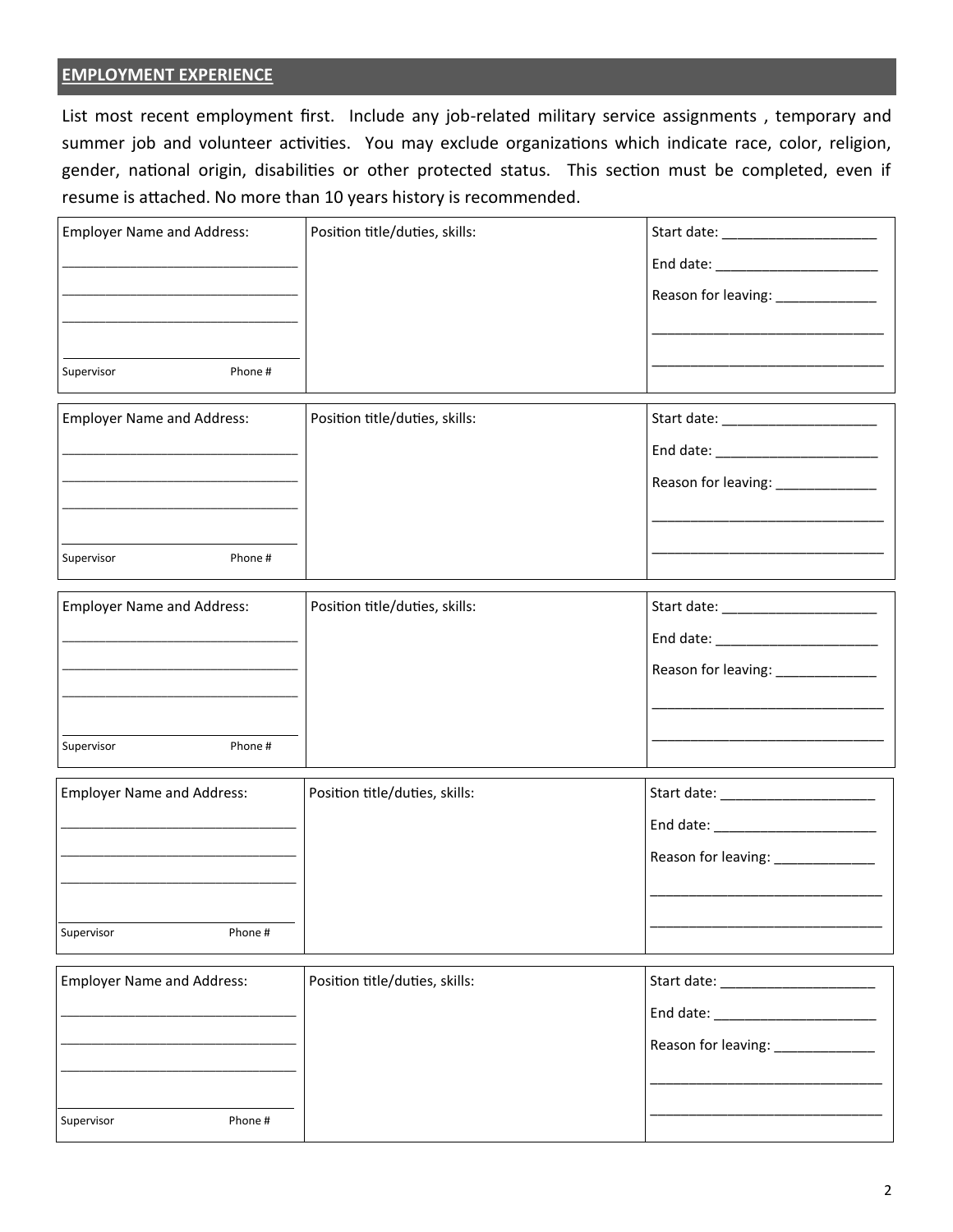## **EMPLOYMENT EXPERIENCE**

List most recent employment first. Include any job-related military service assignments , temporary and summer job and volunteer activities. You may exclude organizations which indicate race, color, religion, gender, national origin, disabilities or other protected status. This section must be completed, even if resume is attached. No more than 10 years history is recommended.

| <b>Employer Name and Address:</b> | Position title/duties, skills: |                                     |
|-----------------------------------|--------------------------------|-------------------------------------|
|                                   |                                |                                     |
|                                   |                                | Reason for leaving: _____________   |
|                                   |                                |                                     |
| Phone#<br>Supervisor              |                                |                                     |
|                                   |                                |                                     |
| <b>Employer Name and Address:</b> | Position title/duties, skills: | Start date: ______________________  |
|                                   |                                |                                     |
|                                   |                                | Reason for leaving: _____________   |
|                                   |                                |                                     |
| Supervisor<br>Phone #             |                                |                                     |
|                                   |                                |                                     |
| <b>Employer Name and Address:</b> | Position title/duties, skills: |                                     |
|                                   |                                | End date: _________________________ |
|                                   |                                | Reason for leaving: _____________   |
|                                   |                                |                                     |
| Phone #<br>Supervisor             |                                |                                     |
|                                   |                                |                                     |
| <b>Employer Name and Address:</b> | Position title/duties, skills: |                                     |
|                                   |                                | End date: ________________________  |
|                                   |                                | Reason for leaving: ____________    |
|                                   |                                |                                     |
| Phone #<br>Supervisor             |                                |                                     |
|                                   |                                |                                     |
| <b>Employer Name and Address:</b> | Position title/duties, skills: | Start date: __________________      |
|                                   |                                |                                     |
|                                   |                                | Reason for leaving: _____________   |
|                                   |                                |                                     |
| Supervisor<br>Phone #             |                                |                                     |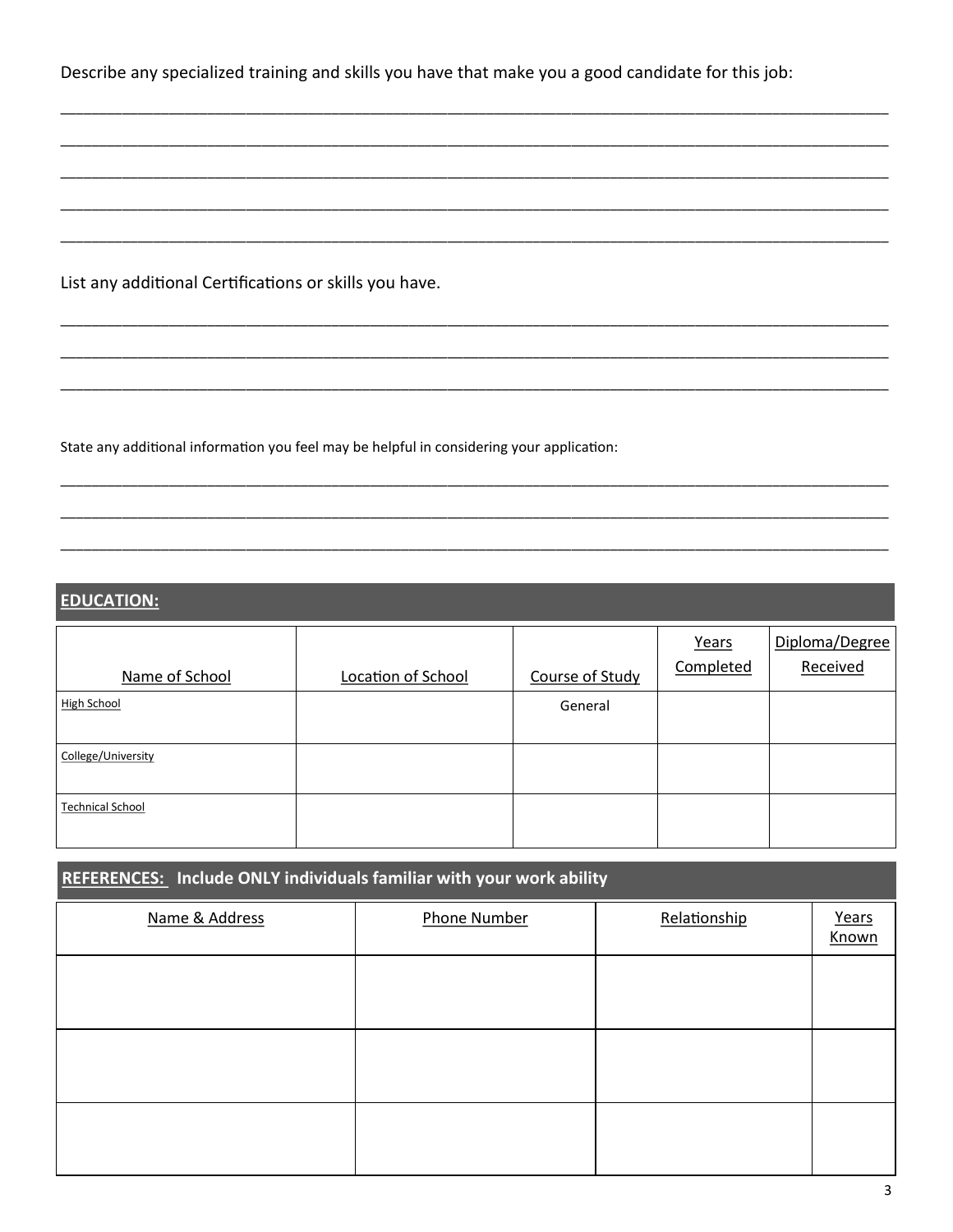Describe any specialized training and skills you have that make you a good candidate for this job:

List any additional Certifications or skills you have.

State any additional information you feel may be helpful in considering your application:

## **EDUCATION:**

| Name of School          | Location of School | Course of Study | Years<br>Completed | Diploma/Degree<br>Received |
|-------------------------|--------------------|-----------------|--------------------|----------------------------|
| High School             |                    | General         |                    |                            |
| College/University      |                    |                 |                    |                            |
| <b>Technical School</b> |                    |                 |                    |                            |

| REFERENCES: Include ONLY individuals familiar with your work ability |                     |              |                |  |  |
|----------------------------------------------------------------------|---------------------|--------------|----------------|--|--|
| Name & Address                                                       | <b>Phone Number</b> | Relationship | Years<br>Known |  |  |
|                                                                      |                     |              |                |  |  |
|                                                                      |                     |              |                |  |  |
|                                                                      |                     |              |                |  |  |
|                                                                      |                     |              |                |  |  |